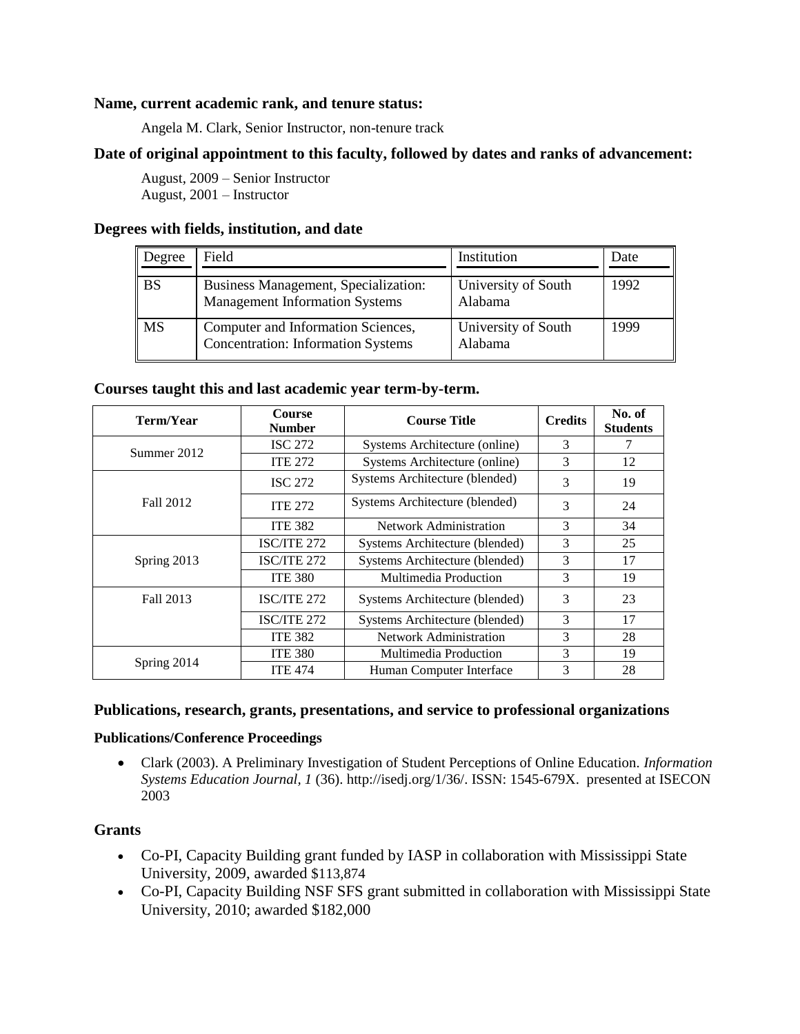### **Name, current academic rank, and tenure status:**

Angela M. Clark, Senior Instructor, non-tenure track

## **Date of original appointment to this faculty, followed by dates and ranks of advancement:**

August, 2009 – Senior Instructor August, 2001 – Instructor

### **Degrees with fields, institution, and date**

| $\blacksquare$ Degree | Field                                                                           | Institution                    | Date |
|-----------------------|---------------------------------------------------------------------------------|--------------------------------|------|
| <b>BS</b>             | Business Management, Specialization:<br><b>Management Information Systems</b>   | University of South<br>Alabama | 1992 |
| <b>MS</b>             | Computer and Information Sciences,<br><b>Concentration: Information Systems</b> | University of South<br>Alabama | 1999 |

#### **Courses taught this and last academic year term-by-term.**

| Term/Year   | <b>Course</b><br><b>Number</b> | <b>Course Title</b>            | <b>Credits</b> | No. of<br><b>Students</b> |
|-------------|--------------------------------|--------------------------------|----------------|---------------------------|
| Summer 2012 | <b>ISC 272</b>                 | Systems Architecture (online)  | 3              |                           |
|             | <b>ITE 272</b>                 | Systems Architecture (online)  | 3              | 12                        |
|             | <b>ISC 272</b>                 | Systems Architecture (blended) | 3              | 19                        |
| Fall 2012   | <b>ITE 272</b>                 | Systems Architecture (blended) | 3              | 24                        |
|             | <b>ITE 382</b>                 | Network Administration         | 3              | 34                        |
|             | ISC/ITE 272                    | Systems Architecture (blended) | $\mathcal{E}$  | 25                        |
| Spring 2013 | ISC/ITE 272                    | Systems Architecture (blended) | $\mathbf{3}$   | 17                        |
|             | <b>ITE 380</b>                 | Multimedia Production          | 3              | 19                        |
| Fall 2013   | ISC/ITE 272                    | Systems Architecture (blended) | $\mathcal{R}$  | 23                        |
|             | ISC/ITE 272                    | Systems Architecture (blended) | 3              | 17                        |
|             | <b>ITE 382</b>                 | Network Administration         | 3              | 28                        |
|             | <b>ITE 380</b>                 | Multimedia Production          | 3              | 19                        |
| Spring 2014 | <b>ITE 474</b>                 | Human Computer Interface       | 3              | 28                        |

## **Publications, research, grants, presentations, and service to professional organizations**

#### **Publications/Conference Proceedings**

 Clark (2003). A Preliminary Investigation of Student Perceptions of Online Education. *Information Systems Education Journal, 1* (36). http://isedj.org/1/36/. ISSN: 1545-679X. presented at ISECON 2003

## **Grants**

- Co-PI, Capacity Building grant funded by IASP in collaboration with Mississippi State University, 2009, awarded \$113,874
- Co-PI, Capacity Building NSF SFS grant submitted in collaboration with Mississippi State University, 2010; awarded \$182,000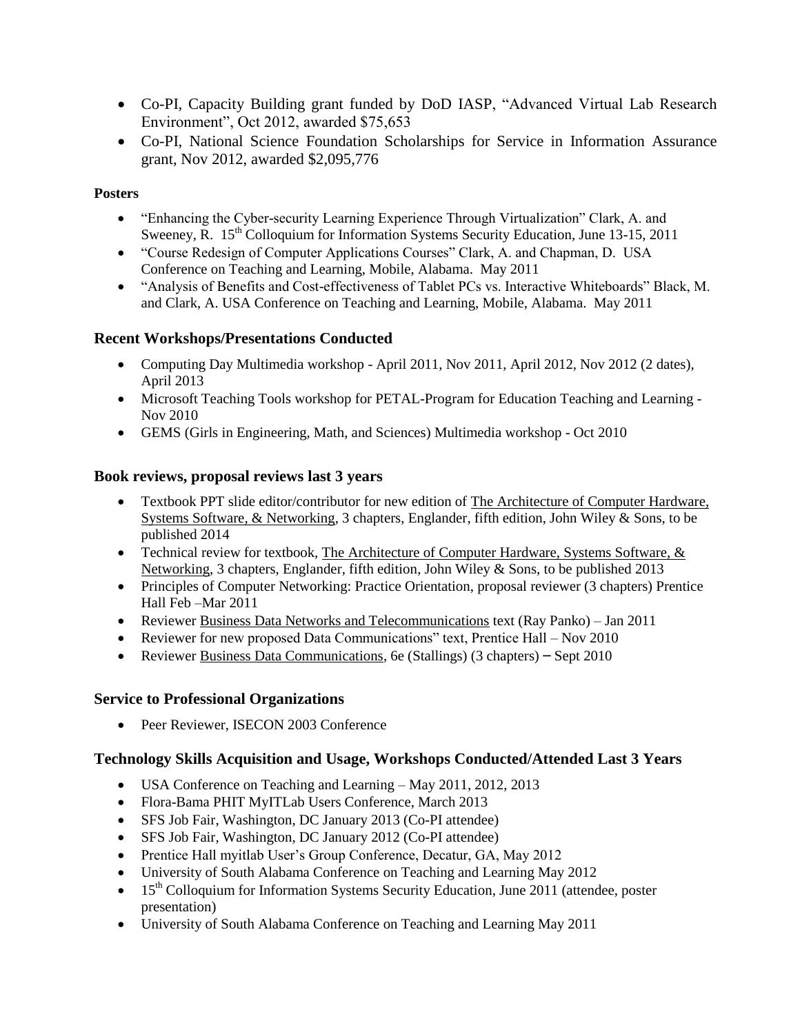- Co-PI, Capacity Building grant funded by DoD IASP, "Advanced Virtual Lab Research Environment", Oct 2012, awarded \$75,653
- Co-PI, National Science Foundation Scholarships for Service in Information Assurance grant, Nov 2012, awarded \$2,095,776

## **Posters**

- "Enhancing the Cyber-security Learning Experience Through Virtualization" Clark, A. and Sweeney, R. 15<sup>th</sup> Colloquium for Information Systems Security Education, June 13-15, 2011
- "Course Redesign of Computer Applications Courses" Clark, A. and Chapman, D. USA Conference on Teaching and Learning, Mobile, Alabama. May 2011
- "Analysis of Benefits and Cost-effectiveness of Tablet PCs vs. Interactive Whiteboards" Black, M. and Clark, A. USA Conference on Teaching and Learning, Mobile, Alabama. May 2011

# **Recent Workshops/Presentations Conducted**

- Computing Day Multimedia workshop April 2011, Nov 2011, April 2012, Nov 2012 (2 dates), April 2013
- Microsoft Teaching Tools workshop for PETAL-Program for Education Teaching and Learning Nov 2010
- GEMS (Girls in Engineering, Math, and Sciences) Multimedia workshop Oct 2010

## **Book reviews, proposal reviews last 3 years**

- Textbook PPT slide editor/contributor for new edition of The Architecture of Computer Hardware, Systems Software, & Networking, 3 chapters, Englander, fifth edition, John Wiley & Sons, to be published 2014
- Technical review for textbook, The Architecture of Computer Hardware, Systems Software, & Networking, 3 chapters, Englander, fifth edition, John Wiley & Sons, to be published 2013
- Principles of Computer Networking: Practice Orientation, proposal reviewer (3 chapters) Prentice Hall Feb –Mar 2011
- Reviewer Business Data Networks and Telecommunications text (Ray Panko) Jan 2011
- Reviewer for new proposed Data Communications" text, Prentice Hall Nov 2010
- Reviewer Business Data Communications, 6e (Stallings) (3 chapters) Sept 2010

# **Service to Professional Organizations**

Peer Reviewer, ISECON 2003 Conference

# **Technology Skills Acquisition and Usage, Workshops Conducted/Attended Last 3 Years**

- USA Conference on Teaching and Learning May 2011, 2012, 2013
- Flora-Bama PHIT MyITLab Users Conference, March 2013
- SFS Job Fair, Washington, DC January 2013 (Co-PI attendee)
- SFS Job Fair, Washington, DC January 2012 (Co-PI attendee)
- Prentice Hall myitlab User's Group Conference, Decatur, GA, May 2012
- University of South Alabama Conference on Teaching and Learning May 2012
- 15<sup>th</sup> Colloquium for Information Systems Security Education, June 2011 (attendee, poster presentation)
- University of South Alabama Conference on Teaching and Learning May 2011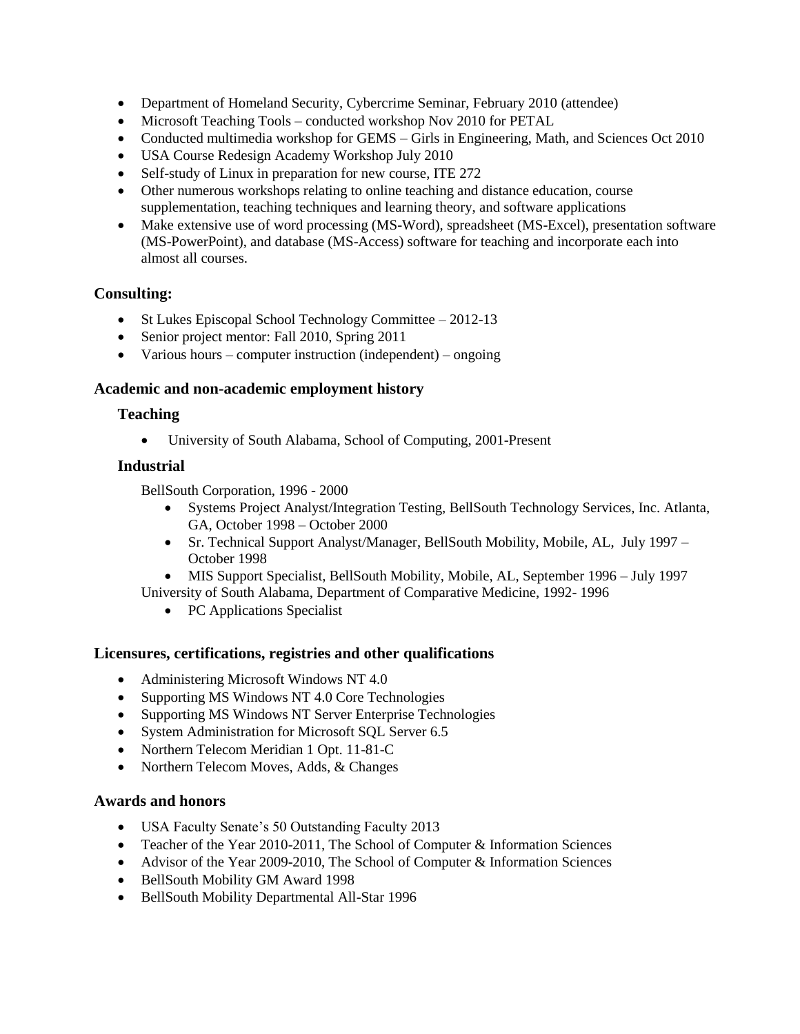- Department of Homeland Security, Cybercrime Seminar, February 2010 (attendee)
- Microsoft Teaching Tools conducted workshop Nov 2010 for PETAL
- Conducted multimedia workshop for GEMS Girls in Engineering, Math, and Sciences Oct 2010
- USA Course Redesign Academy Workshop July 2010
- Self-study of Linux in preparation for new course, ITE 272
- Other numerous workshops relating to online teaching and distance education, course supplementation, teaching techniques and learning theory, and software applications
- Make extensive use of word processing (MS-Word), spreadsheet (MS-Excel), presentation software (MS-PowerPoint), and database (MS-Access) software for teaching and incorporate each into almost all courses.

## **Consulting:**

- St Lukes Episcopal School Technology Committee  $-2012-13$
- Senior project mentor: Fall 2010, Spring 2011
- Various hours computer instruction (independent) ongoing

## **Academic and non-academic employment history**

### **Teaching**

University of South Alabama, School of Computing, 2001-Present

## **Industrial**

BellSouth Corporation, 1996 - 2000

- Systems Project Analyst/Integration Testing, BellSouth Technology Services, Inc. Atlanta, GA, October 1998 – October 2000
- Sr. Technical Support Analyst/Manager, BellSouth Mobility, Mobile, AL, July 1997 October 1998
- MIS Support Specialist, BellSouth Mobility, Mobile, AL, September 1996 July 1997

University of South Alabama, Department of Comparative Medicine, 1992- 1996

• PC Applications Specialist

## **Licensures, certifications, registries and other qualifications**

- Administering Microsoft Windows NT 4.0
- Supporting MS Windows NT 4.0 Core Technologies
- Supporting MS Windows NT Server Enterprise Technologies
- System Administration for Microsoft SQL Server 6.5
- Northern Telecom Meridian 1 Opt. 11-81-C
- Northern Telecom Moves, Adds, & Changes

## **Awards and honors**

- USA Faculty Senate's 50 Outstanding Faculty 2013
- Teacher of the Year 2010-2011, The School of Computer & Information Sciences
- Advisor of the Year 2009-2010, The School of Computer & Information Sciences
- BellSouth Mobility GM Award 1998
- BellSouth Mobility Departmental All-Star 1996